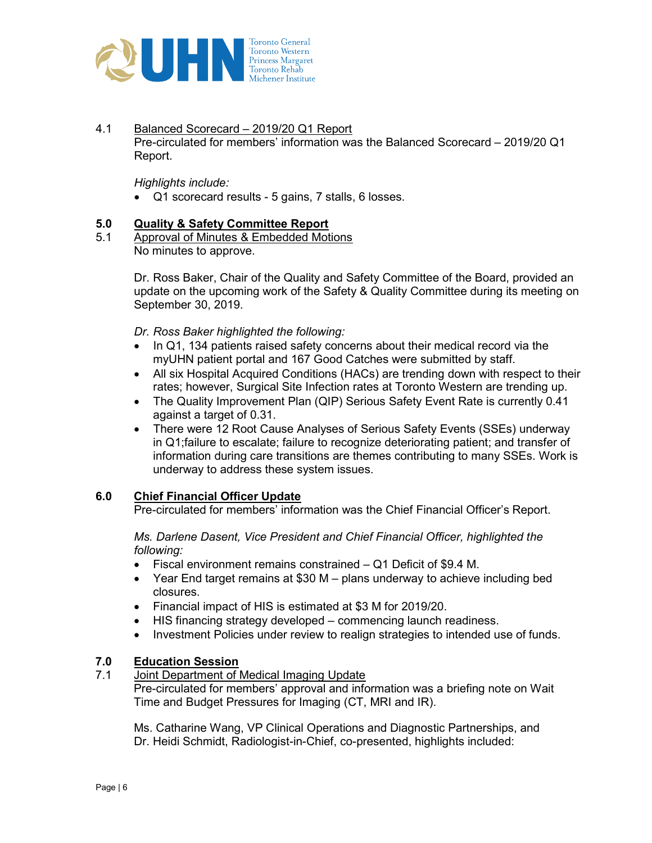

4.1 Balanced Scorecard – 2019/20 Q1 Report Pre-circulated for members' information was the Balanced Scorecard – 2019/20 Q1 Report.

Highlights include:

Q1 scorecard results - 5 gains, 7 stalls, 6 losses.

## 5.0 Quality & Safety Committee Report

5.1 Approval of Minutes & Embedded Motions No minutes to approve.

> Dr. Ross Baker, Chair of the Quality and Safety Committee of the Board, provided an update on the upcoming work of the Safety & Quality Committee during its meeting on September 30, 2019.

Dr. Ross Baker highlighted the following:

- In Q1, 134 patients raised safety concerns about their medical record via the myUHN patient portal and 167 Good Catches were submitted by staff.
- All six Hospital Acquired Conditions (HACs) are trending down with respect to their rates; however, Surgical Site Infection rates at Toronto Western are trending up.
- The Quality Improvement Plan (QIP) Serious Safety Event Rate is currently 0.41 against a target of 0.31.
- There were 12 Root Cause Analyses of Serious Safety Events (SSEs) underway in Q1;failure to escalate; failure to recognize deteriorating patient; and transfer of information during care transitions are themes contributing to many SSEs. Work is underway to address these system issues.

# 6.0 Chief Financial Officer Update

Pre-circulated for members' information was the Chief Financial Officer's Report.

Ms. Darlene Dasent, Vice President and Chief Financial Officer, highlighted the following:

- Fiscal environment remains constrained Q1 Deficit of \$9.4 M.
- Year End target remains at \$30 M plans underway to achieve including bed closures.
- Financial impact of HIS is estimated at \$3 M for 2019/20.
- HIS financing strategy developed commencing launch readiness.
- Investment Policies under review to realign strategies to intended use of funds.

# 7.0 Education Session

7.1 Joint Department of Medical Imaging Update

Pre-circulated for members' approval and information was a briefing note on Wait Time and Budget Pressures for Imaging (CT, MRI and IR).

Ms. Catharine Wang, VP Clinical Operations and Diagnostic Partnerships, and Dr. Heidi Schmidt, Radiologist-in-Chief, co-presented, highlights included: